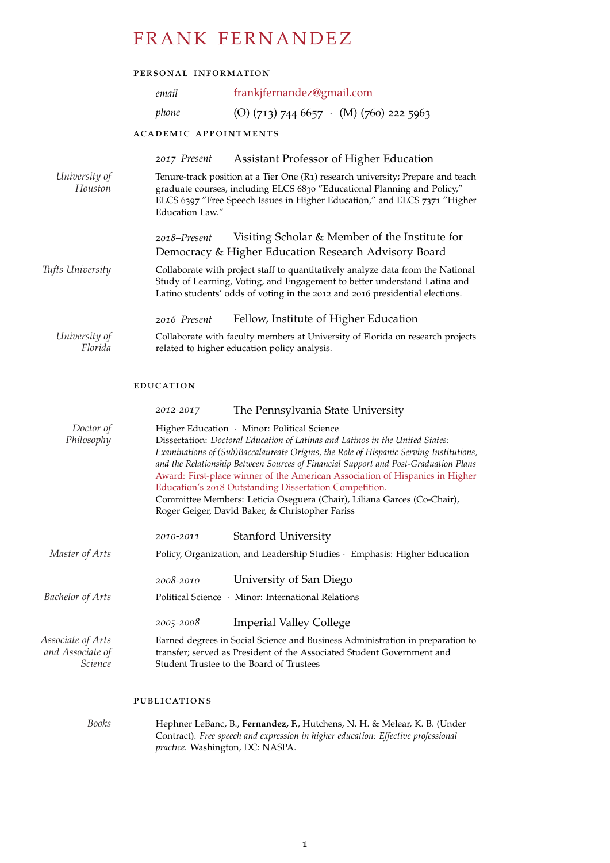# FRANK FERNANDEZ

## personal information

|                          | email                                                                                                                                                                                                                                                       | frankjfernandez@gmail.com                                                                                                                                                                                                                                                                                                                                                                                                                                                                                                                                                             |
|--------------------------|-------------------------------------------------------------------------------------------------------------------------------------------------------------------------------------------------------------------------------------------------------------|---------------------------------------------------------------------------------------------------------------------------------------------------------------------------------------------------------------------------------------------------------------------------------------------------------------------------------------------------------------------------------------------------------------------------------------------------------------------------------------------------------------------------------------------------------------------------------------|
|                          | phone                                                                                                                                                                                                                                                       | (O) $(713)$ 744 6657 · (M) $(760)$ 222 5963                                                                                                                                                                                                                                                                                                                                                                                                                                                                                                                                           |
|                          | <b>ACADEMIC APPOINTMENTS</b>                                                                                                                                                                                                                                |                                                                                                                                                                                                                                                                                                                                                                                                                                                                                                                                                                                       |
|                          | 2017-Present                                                                                                                                                                                                                                                | Assistant Professor of Higher Education                                                                                                                                                                                                                                                                                                                                                                                                                                                                                                                                               |
| University of<br>Houston | Tenure-track position at a Tier One (R1) research university; Prepare and teach<br>graduate courses, including ELCS 6830 "Educational Planning and Policy,"<br>ELCS 6397 "Free Speech Issues in Higher Education," and ELCS 7371 "Higher<br>Education Law." |                                                                                                                                                                                                                                                                                                                                                                                                                                                                                                                                                                                       |
|                          | 2018–Present                                                                                                                                                                                                                                                | Visiting Scholar & Member of the Institute for<br>Democracy & Higher Education Research Advisory Board                                                                                                                                                                                                                                                                                                                                                                                                                                                                                |
| Tufts University         |                                                                                                                                                                                                                                                             | Collaborate with project staff to quantitatively analyze data from the National<br>Study of Learning, Voting, and Engagement to better understand Latina and<br>Latino students' odds of voting in the 2012 and 2016 presidential elections.                                                                                                                                                                                                                                                                                                                                          |
|                          | 2016–Present                                                                                                                                                                                                                                                | Fellow, Institute of Higher Education                                                                                                                                                                                                                                                                                                                                                                                                                                                                                                                                                 |
| University of<br>Florida |                                                                                                                                                                                                                                                             | Collaborate with faculty members at University of Florida on research projects<br>related to higher education policy analysis.                                                                                                                                                                                                                                                                                                                                                                                                                                                        |
|                          | <b>EDUCATION</b>                                                                                                                                                                                                                                            |                                                                                                                                                                                                                                                                                                                                                                                                                                                                                                                                                                                       |
|                          | 2012-2017                                                                                                                                                                                                                                                   | The Pennsylvania State University                                                                                                                                                                                                                                                                                                                                                                                                                                                                                                                                                     |
| Doctor of<br>Philosophy  |                                                                                                                                                                                                                                                             | Higher Education · Minor: Political Science<br>Dissertation: Doctoral Education of Latinas and Latinos in the United States:<br>Examinations of (Sub)Baccalaureate Origins, the Role of Hispanic Serving Institutions,<br>and the Relationship Between Sources of Financial Support and Post-Graduation Plans<br>Award: First-place winner of the American Association of Hispanics in Higher<br>Education's 2018 Outstanding Dissertation Competition.<br>Committee Members: Leticia Oseguera (Chair), Liliana Garces (Co-Chair),<br>Roger Geiger, David Baker, & Christopher Fariss |

|                                                         | 2010-2011                                                                                                                                                                                            | <b>Stanford University</b>                                                    |
|---------------------------------------------------------|------------------------------------------------------------------------------------------------------------------------------------------------------------------------------------------------------|-------------------------------------------------------------------------------|
| Master of Arts                                          |                                                                                                                                                                                                      | Policy, Organization, and Leadership Studies · Emphasis: Higher Education     |
| <b>Bachelor of Arts</b>                                 | $2008 - 2010$                                                                                                                                                                                        | University of San Diego<br>Political Science · Minor: International Relations |
|                                                         | 2005-2008                                                                                                                                                                                            | <b>Imperial Valley College</b>                                                |
| Associate of Arts<br>and Associate of<br><i>Science</i> | Earned degrees in Social Science and Business Administration in preparation to<br>transfer; served as President of the Associated Student Government and<br>Student Trustee to the Board of Trustees |                                                                               |

## publications

| Books | Hephner LeBanc, B., Fernandez, F., Hutchens, N. H. & Melear, K. B. (Under         |
|-------|-----------------------------------------------------------------------------------|
|       | Contract). Free speech and expression in higher education: Effective professional |
|       | <i>practice.</i> Washington, DC: NASPA.                                           |
|       |                                                                                   |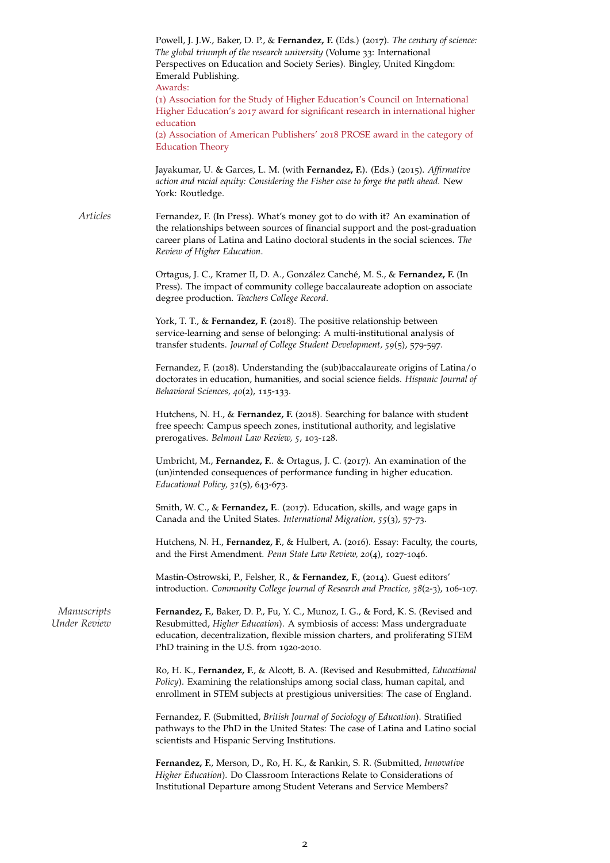Powell, J. J.W., Baker, D. P., & **Fernandez, F.** (Eds.) (2017). *The century of science: The global triumph of the research university* (Volume 33: International Perspectives on Education and Society Series). Bingley, United Kingdom: Emerald Publishing. Awards: (1) Association for the Study of Higher Education's Council on International Higher Education's 2017 award for significant research in international higher education (2) Association of American Publishers' 2018 PROSE award in the category of Education Theory Jayakumar, U. & Garces, L. M. (with **Fernandez, F.**). (Eds.) (2015). *Affirmative action and racial equity: Considering the Fisher case to forge the path ahead.* New York: Routledge. *Articles* Fernandez, F. (In Press). What's money got to do with it? An examination of the relationships between sources of financial support and the post-graduation career plans of Latina and Latino doctoral students in the social sciences. *The Review of Higher Education*. Ortagus, J. C., Kramer II, D. A., González Canché, M. S., & Fernandez, F. (In Press). The impact of community college baccalaureate adoption on associate degree production. *Teachers College Record*. York, T. T., & **Fernandez, F.** (2018). The positive relationship between service-learning and sense of belonging: A multi-institutional analysis of transfer students. *Journal of College Student Development, 59*(5), 579-597. Fernandez, F. (2018). Understanding the (sub)baccalaureate origins of Latina/o doctorates in education, humanities, and social science fields. *Hispanic Journal of Behavioral Sciences, 40*(2), 115-133. Hutchens, N. H., & **Fernandez, F.** (2018). Searching for balance with student free speech: Campus speech zones, institutional authority, and legislative prerogatives. *Belmont Law Review, 5*, 103-128. Umbricht, M., **Fernandez, F.**. & Ortagus, J. C. (2017). An examination of the (un)intended consequences of performance funding in higher education. *Educational Policy, 31*(5), 643-673. Smith, W. C., & **Fernandez, F.**. (2017). Education, skills, and wage gaps in Canada and the United States. *International Migration, 55*(3), 57-73. Hutchens, N. H., **Fernandez, F.**, & Hulbert, A. (2016). Essay: Faculty, the courts, and the First Amendment. *Penn State Law Review, 20*(4), 1027-1046. Mastin-Ostrowski, P., Felsher, R., & **Fernandez, F.**, (2014). Guest editors' introduction. *Community College Journal of Research and Practice, 38*(2-3), 106-107. *Manuscripts* **Fernandez, F.**, Baker, D. P., Fu, Y. C., Munoz, I. G., & Ford, K. S. (Revised and *Under Review* Resubmitted. *Higher Education*). A symbiosis of access: Mass undergraduate *Under Review* Resubmitted, *Higher Education*). A symbiosis of access: Mass undergraduate education, decentralization, flexible mission charters, and proliferating STEM PhD training in the U.S. from 1920-2010. Ro, H. K., **Fernandez, F.**, & Alcott, B. A. (Revised and Resubmitted, *Educational Policy*). Examining the relationships among social class, human capital, and enrollment in STEM subjects at prestigious universities: The case of England. Fernandez, F. (Submitted, *British Journal of Sociology of Education*). Stratified pathways to the PhD in the United States: The case of Latina and Latino social scientists and Hispanic Serving Institutions. **Fernandez, F.**, Merson, D., Ro, H. K., & Rankin, S. R. (Submitted, *Innovative*

*Higher Education*). Do Classroom Interactions Relate to Considerations of Institutional Departure among Student Veterans and Service Members?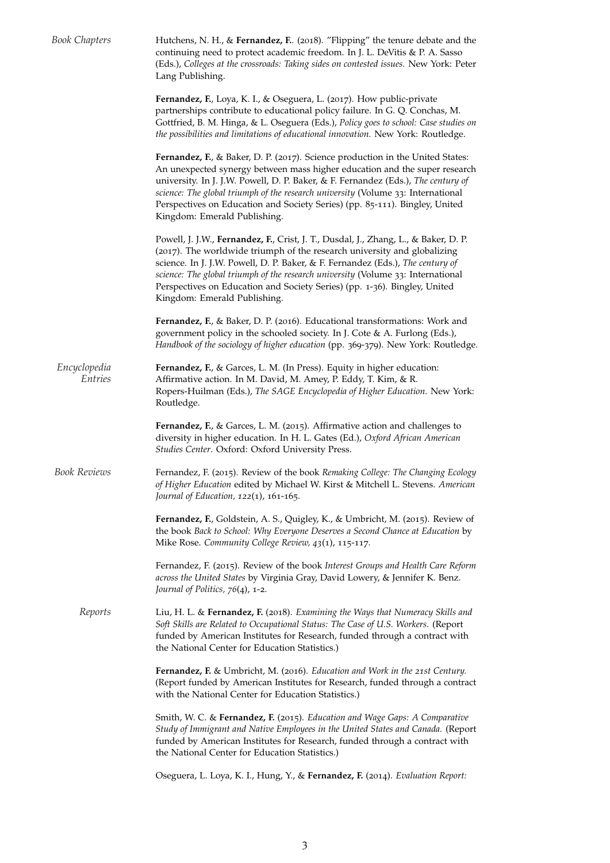| <b>Book Chapters</b>    | Hutchens, N. H., & Fernandez, F. (2018). "Flipping" the tenure debate and the<br>continuing need to protect academic freedom. In J. L. DeVitis & P. A. Sasso<br>(Eds.), Colleges at the crossroads: Taking sides on contested issues. New York: Peter<br>Lang Publishing.                                                                                                                                                                            |  |  |
|-------------------------|------------------------------------------------------------------------------------------------------------------------------------------------------------------------------------------------------------------------------------------------------------------------------------------------------------------------------------------------------------------------------------------------------------------------------------------------------|--|--|
|                         | Fernandez, F., Loya, K. I., & Oseguera, L. (2017). How public-private<br>partnerships contribute to educational policy failure. In G. Q. Conchas, M.<br>Gottfried, B. M. Hinga, & L. Oseguera (Eds.), Policy goes to school: Case studies on<br>the possibilities and limitations of educational innovation. New York: Routledge.                                                                                                                    |  |  |
|                         | Fernandez, F., & Baker, D. P. (2017). Science production in the United States:<br>An unexpected synergy between mass higher education and the super research<br>university. In J. J.W. Powell, D. P. Baker, & F. Fernandez (Eds.), The century of<br>science: The global triumph of the research university (Volume 33: International<br>Perspectives on Education and Society Series) (pp. 85-111). Bingley, United<br>Kingdom: Emerald Publishing. |  |  |
|                         | Powell, J. J.W., Fernandez, F., Crist, J. T., Dusdal, J., Zhang, L., & Baker, D. P.<br>(2017). The worldwide triumph of the research university and globalizing<br>science. In J. J.W. Powell, D. P. Baker, & F. Fernandez (Eds.), The century of<br>science: The global triumph of the research university (Volume 33: International<br>Perspectives on Education and Society Series) (pp. 1-36). Bingley, United<br>Kingdom: Emerald Publishing.   |  |  |
|                         | Fernandez, F., & Baker, D. P. (2016). Educational transformations: Work and<br>government policy in the schooled society. In J. Cote & A. Furlong (Eds.),<br>Handbook of the sociology of higher education (pp. 369-379). New York: Routledge.                                                                                                                                                                                                       |  |  |
| Encyclopedia<br>Entries | Fernandez, F., & Garces, L. M. (In Press). Equity in higher education:<br>Affirmative action. In M. David, M. Amey, P. Eddy, T. Kim, & R.<br>Ropers-Huilman (Eds.), The SAGE Encyclopedia of Higher Education. New York:<br>Routledge.                                                                                                                                                                                                               |  |  |
|                         | Fernandez, F., & Garces, L. M. (2015). Affirmative action and challenges to<br>diversity in higher education. In H. L. Gates (Ed.), Oxford African American<br>Studies Center. Oxford: Oxford University Press.                                                                                                                                                                                                                                      |  |  |
| <b>Book Reviews</b>     | Fernandez, F. (2015). Review of the book Remaking College: The Changing Ecology<br>of Higher Education edited by Michael W. Kirst & Mitchell L. Stevens. American<br>Journal of Education, $122(1)$ , $161-165$ .                                                                                                                                                                                                                                    |  |  |
|                         | Fernandez, F., Goldstein, A. S., Quigley, K., & Umbricht, M. (2015). Review of<br>the book Back to School: Why Everyone Deserves a Second Chance at Education by<br>Mike Rose. Community College Review, 43(1), 115-117.                                                                                                                                                                                                                             |  |  |
|                         | Fernandez, F. (2015). Review of the book Interest Groups and Health Care Reform<br>across the United States by Virginia Gray, David Lowery, & Jennifer K. Benz.<br>Journal of Politics, 76(4), 1-2.                                                                                                                                                                                                                                                  |  |  |
| Reports                 | Liu, H. L. & Fernandez, F. (2018). Examining the Ways that Numeracy Skills and<br>Soft Skills are Related to Occupational Status: The Case of U.S. Workers. (Report<br>funded by American Institutes for Research, funded through a contract with<br>the National Center for Education Statistics.)                                                                                                                                                  |  |  |
|                         | Fernandez, F. & Umbricht, M. (2016). Education and Work in the 21st Century.<br>(Report funded by American Institutes for Research, funded through a contract<br>with the National Center for Education Statistics.)                                                                                                                                                                                                                                 |  |  |
|                         | Smith, W. C. & Fernandez, F. (2015). Education and Wage Gaps: A Comparative<br>Study of Immigrant and Native Employees in the United States and Canada. (Report<br>funded by American Institutes for Research, funded through a contract with<br>the National Center for Education Statistics.)                                                                                                                                                      |  |  |
|                         | Oseguera, L. Loya, K. I., Hung, Y., & Fernandez, F. (2014). Evaluation Report:                                                                                                                                                                                                                                                                                                                                                                       |  |  |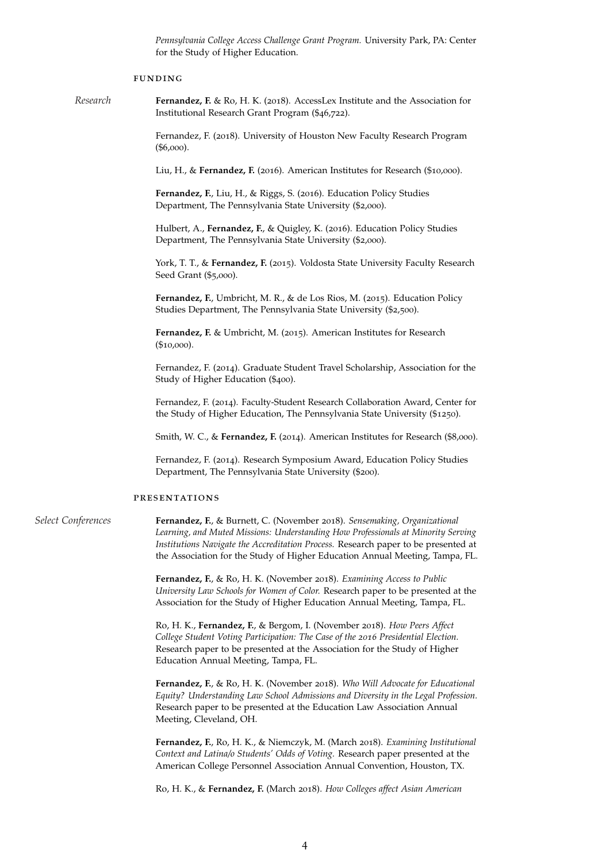*Pennsylvania College Access Challenge Grant Program.* University Park, PA: Center for the Study of Higher Education.

#### funding

*Research* **Fernandez, F.** & Ro, H. K. (2018). AccessLex Institute and the Association for Institutional Research Grant Program (\$46,722).

> Fernandez, F. (2018). University of Houston New Faculty Research Program (\$6,000).

Liu, H., & **Fernandez, F.** (2016). American Institutes for Research (\$10,000).

**Fernandez, F.**, Liu, H., & Riggs, S. (2016). Education Policy Studies Department, The Pennsylvania State University (\$2,000).

Hulbert, A., **Fernandez, F.**, & Quigley, K. (2016). Education Policy Studies Department, The Pennsylvania State University (\$2,000).

York, T. T., & Fernandez, F. (2015). Voldosta State University Faculty Research Seed Grant (\$5,000).

Fernandez, F., Umbricht, M. R., & de Los Rios, M. (2015). Education Policy Studies Department, The Pennsylvania State University (\$2,500).

**Fernandez, F.** & Umbricht, M. (2015). American Institutes for Research (\$10,000).

Fernandez, F. (2014). Graduate Student Travel Scholarship, Association for the Study of Higher Education (\$400).

Fernandez, F. (2014). Faculty-Student Research Collaboration Award, Center for the Study of Higher Education, The Pennsylvania State University (\$1250).

Smith, W. C., & **Fernandez, F.** (2014). American Institutes for Research (\$8,000).

Fernandez, F. (2014). Research Symposium Award, Education Policy Studies Department, The Pennsylvania State University (\$200).

#### presentations

*Select Conferences* **Fernandez, F.**, & Burnett, C. (November 2018). *Sensemaking, Organizational Learning, and Muted Missions: Understanding How Professionals at Minority Serving Institutions Navigate the Accreditation Process.* Research paper to be presented at the Association for the Study of Higher Education Annual Meeting, Tampa, FL.

> **Fernandez, F.**, & Ro, H. K. (November 2018). *Examining Access to Public University Law Schools for Women of Color.* Research paper to be presented at the Association for the Study of Higher Education Annual Meeting, Tampa, FL.

Ro, H. K., **Fernandez, F.**, & Bergom, I. (November 2018). *How Peers Affect College Student Voting Participation: The Case of the 2016 Presidential Election.* Research paper to be presented at the Association for the Study of Higher Education Annual Meeting, Tampa, FL.

**Fernandez, F.**, & Ro, H. K. (November 2018). *Who Will Advocate for Educational Equity? Understanding Law School Admissions and Diversity in the Legal Profession.* Research paper to be presented at the Education Law Association Annual Meeting, Cleveland, OH.

**Fernandez, F.**, Ro, H. K., & Niemczyk, M. (March 2018). *Examining Institutional Context and Latina/o Students' Odds of Voting.* Research paper presented at the American College Personnel Association Annual Convention, Houston, TX.

Ro, H. K., & **Fernandez, F.** (March 2018). *How Colleges affect Asian American*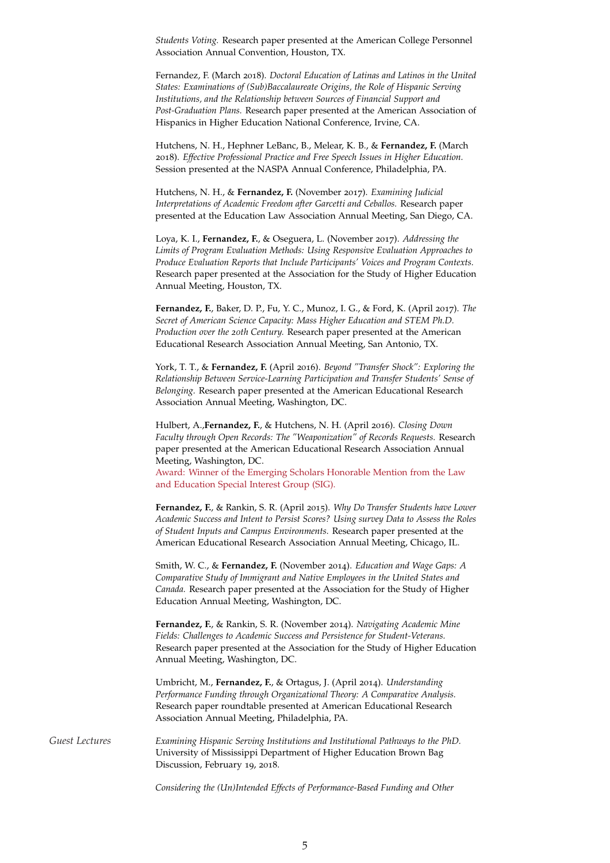*Students Voting.* Research paper presented at the American College Personnel Association Annual Convention, Houston, TX.

Fernandez, F. (March 2018). *Doctoral Education of Latinas and Latinos in the United States: Examinations of (Sub)Baccalaureate Origins, the Role of Hispanic Serving Institutions, and the Relationship between Sources of Financial Support and Post-Graduation Plans.* Research paper presented at the American Association of Hispanics in Higher Education National Conference, Irvine, CA.

Hutchens, N. H., Hephner LeBanc, B., Melear, K. B., & **Fernandez, F.** (March 2018). *Effective Professional Practice and Free Speech Issues in Higher Education.* Session presented at the NASPA Annual Conference, Philadelphia, PA.

Hutchens, N. H., & **Fernandez, F.** (November 2017). *Examining Judicial Interpretations of Academic Freedom after Garcetti and Ceballos.* Research paper presented at the Education Law Association Annual Meeting, San Diego, CA.

Loya, K. I., **Fernandez, F.**, & Oseguera, L. (November 2017). *Addressing the Limits of Program Evaluation Methods: Using Responsive Evaluation Approaches to Produce Evaluation Reports that Include Participants' Voices and Program Contexts.* Research paper presented at the Association for the Study of Higher Education Annual Meeting, Houston, TX.

**Fernandez, F.**, Baker, D. P., Fu, Y. C., Munoz, I. G., & Ford, K. (April 2017). *The Secret of American Science Capacity: Mass Higher Education and STEM Ph.D. Production over the 20th Century.* Research paper presented at the American Educational Research Association Annual Meeting, San Antonio, TX.

York, T. T., & **Fernandez, F.** (April 2016). *Beyond "Transfer Shock": Exploring the Relationship Between Service-Learning Participation and Transfer Students' Sense of Belonging.* Research paper presented at the American Educational Research Association Annual Meeting, Washington, DC.

Hulbert, A.,**Fernandez, F.**, & Hutchens, N. H. (April 2016). *Closing Down Faculty through Open Records: The "Weaponization" of Records Requests.* Research paper presented at the American Educational Research Association Annual Meeting, Washington, DC.

Award: Winner of the Emerging Scholars Honorable Mention from the Law and Education Special Interest Group (SIG).

**Fernandez, F.**, & Rankin, S. R. (April 2015). *Why Do Transfer Students have Lower Academic Success and Intent to Persist Scores? Using survey Data to Assess the Roles of Student Inputs and Campus Environments.* Research paper presented at the American Educational Research Association Annual Meeting, Chicago, IL.

Smith, W. C., & **Fernandez, F.** (November 2014). *Education and Wage Gaps: A Comparative Study of Immigrant and Native Employees in the United States and Canada.* Research paper presented at the Association for the Study of Higher Education Annual Meeting, Washington, DC.

**Fernandez, F.**, & Rankin, S. R. (November 2014). *Navigating Academic Mine Fields: Challenges to Academic Success and Persistence for Student-Veterans.* Research paper presented at the Association for the Study of Higher Education Annual Meeting, Washington, DC.

Umbricht, M., **Fernandez, F.**, & Ortagus, J. (April 2014). *Understanding Performance Funding through Organizational Theory: A Comparative Analysis.* Research paper roundtable presented at American Educational Research Association Annual Meeting, Philadelphia, PA.

*Guest Lectures Examining Hispanic Serving Institutions and Institutional Pathways to the PhD.* University of Mississippi Department of Higher Education Brown Bag Discussion, February 19, 2018.

*Considering the (Un)Intended Effects of Performance-Based Funding and Other*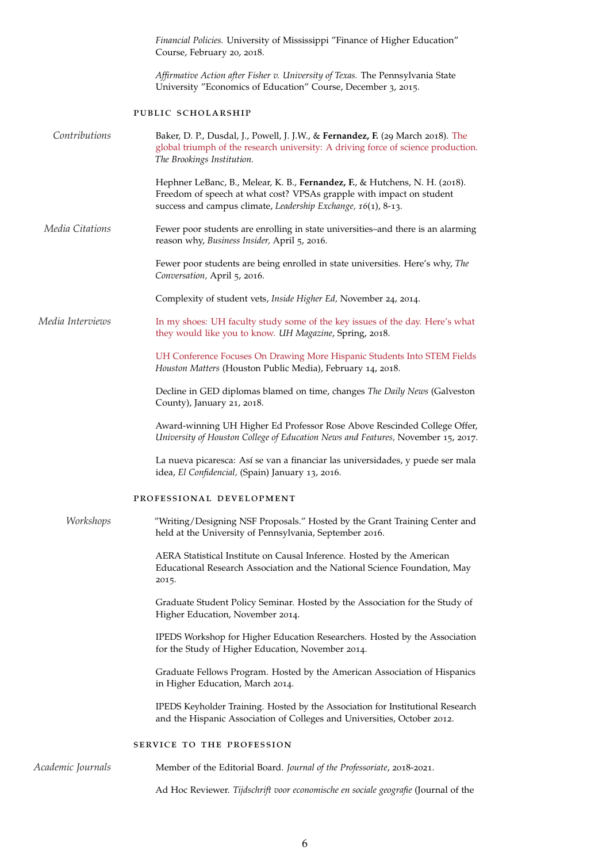|                   | Financial Policies. University of Mississippi "Finance of Higher Education"<br>Course, February 20, 2018.                                                                                                            |  |  |
|-------------------|----------------------------------------------------------------------------------------------------------------------------------------------------------------------------------------------------------------------|--|--|
|                   | Affirmative Action after Fisher v. University of Texas. The Pennsylvania State<br>University "Economics of Education" Course, December 3, 2015.                                                                      |  |  |
|                   | PUBLIC SCHOLARSHIP                                                                                                                                                                                                   |  |  |
| Contributions     | Baker, D. P., Dusdal, J., Powell, J. J.W., & Fernandez, F. (29 March 2018). The<br>global triumph of the research university: A driving force of science production.<br>The Brookings Institution.                   |  |  |
|                   | Hephner LeBanc, B., Melear, K. B., Fernandez, F., & Hutchens, N. H. (2018).<br>Freedom of speech at what cost? VPSAs grapple with impact on student<br>success and campus climate, Leadership Exchange, 16(1), 8-13. |  |  |
| Media Citations   | Fewer poor students are enrolling in state universities-and there is an alarming<br>reason why, Business Insider, April 5, 2016.                                                                                     |  |  |
|                   | Fewer poor students are being enrolled in state universities. Here's why, The<br>Conversation, April 5, 2016.                                                                                                        |  |  |
|                   | Complexity of student vets, Inside Higher Ed, November 24, 2014.                                                                                                                                                     |  |  |
| Media Interviews  | In my shoes: UH faculty study some of the key issues of the day. Here's what<br>they would like you to know. UH Magazine, Spring, 2018.                                                                              |  |  |
|                   | UH Conference Focuses On Drawing More Hispanic Students Into STEM Fields<br>Houston Matters (Houston Public Media), February 14, 2018.                                                                               |  |  |
|                   | Decline in GED diplomas blamed on time, changes The Daily News (Galveston<br>County), January 21, 2018.                                                                                                              |  |  |
|                   | Award-winning UH Higher Ed Professor Rose Above Rescinded College Offer,<br>University of Houston College of Education News and Features, November 15, 2017.                                                         |  |  |
|                   | La nueva picaresca: Así se van a financiar las universidades, y puede ser mala<br>idea, El Confidencial, (Spain) January 13, 2016.                                                                                   |  |  |
|                   | PROFESSIONAL DEVELOPMENT                                                                                                                                                                                             |  |  |
| Workshops         | "Writing/Designing NSF Proposals." Hosted by the Grant Training Center and<br>held at the University of Pennsylvania, September 2016.                                                                                |  |  |
|                   | AERA Statistical Institute on Causal Inference. Hosted by the American<br>Educational Research Association and the National Science Foundation, May<br>2015.                                                         |  |  |
|                   | Graduate Student Policy Seminar. Hosted by the Association for the Study of<br>Higher Education, November 2014.                                                                                                      |  |  |
|                   | IPEDS Workshop for Higher Education Researchers. Hosted by the Association<br>for the Study of Higher Education, November 2014.                                                                                      |  |  |
|                   | Graduate Fellows Program. Hosted by the American Association of Hispanics<br>in Higher Education, March 2014.                                                                                                        |  |  |
|                   | IPEDS Keyholder Training. Hosted by the Association for Institutional Research<br>and the Hispanic Association of Colleges and Universities, October 2012.                                                           |  |  |
|                   | SERVICE TO THE PROFESSION                                                                                                                                                                                            |  |  |
| Academic Journals | Member of the Editorial Board. Journal of the Professoriate, 2018-2021.                                                                                                                                              |  |  |
|                   | Ad Hoc Reviewer. Tijdschrift voor economische en sociale geografie (Journal of the                                                                                                                                   |  |  |